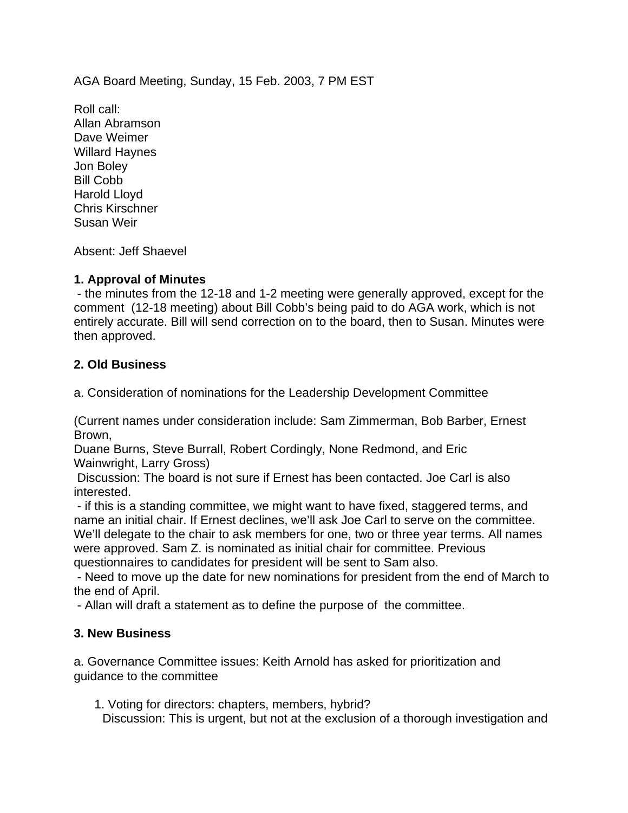AGA Board Meeting, Sunday, 15 Feb. 2003, 7 PM EST

Roll call: Allan Abramson Dave Weimer Willard Haynes Jon Boley Bill Cobb Harold Lloyd Chris Kirschner Susan Weir

Absent: Jeff Shaevel

## **1. Approval of Minutes**

 - the minutes from the 12-18 and 1-2 meeting were generally approved, except for the comment (12-18 meeting) about Bill Cobb's being paid to do AGA work, which is not entirely accurate. Bill will send correction on to the board, then to Susan. Minutes were then approved.

# **2. Old Business**

a. Consideration of nominations for the Leadership Development Committee

(Current names under consideration include: Sam Zimmerman, Bob Barber, Ernest Brown,

Duane Burns, Steve Burrall, Robert Cordingly, None Redmond, and Eric Wainwright, Larry Gross)

 Discussion: The board is not sure if Ernest has been contacted. Joe Carl is also interested.

 - if this is a standing committee, we might want to have fixed, staggered terms, and name an initial chair. If Ernest declines, we'll ask Joe Carl to serve on the committee. We'll delegate to the chair to ask members for one, two or three year terms. All names were approved. Sam Z. is nominated as initial chair for committee. Previous questionnaires to candidates for president will be sent to Sam also.

 - Need to move up the date for new nominations for president from the end of March to the end of April.

- Allan will draft a statement as to define the purpose of the committee.

## **3. New Business**

a. Governance Committee issues: Keith Arnold has asked for prioritization and guidance to the committee

1. Voting for directors: chapters, members, hybrid?

Discussion: This is urgent, but not at the exclusion of a thorough investigation and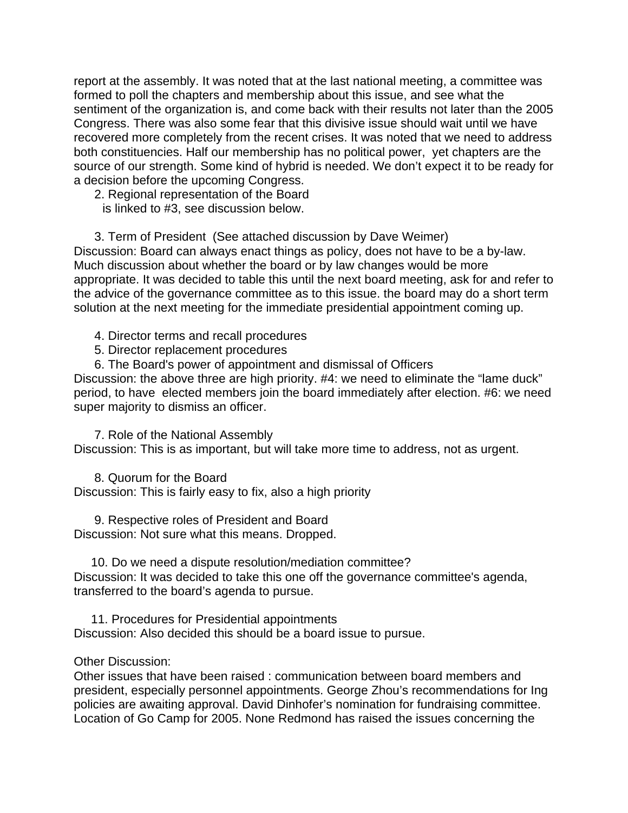report at the assembly. It was noted that at the last national meeting, a committee was formed to poll the chapters and membership about this issue, and see what the sentiment of the organization is, and come back with their results not later than the 2005 Congress. There was also some fear that this divisive issue should wait until we have recovered more completely from the recent crises. It was noted that we need to address both constituencies. Half our membership has no political power, yet chapters are the source of our strength. Some kind of hybrid is needed. We don't expect it to be ready for a decision before the upcoming Congress.

2. Regional representation of the Board

is linked to #3, see discussion below.

 3. Term of President (See attached discussion by Dave Weimer) Discussion: Board can always enact things as policy, does not have to be a by-law. Much discussion about whether the board or by law changes would be more appropriate. It was decided to table this until the next board meeting, ask for and refer to the advice of the governance committee as to this issue. the board may do a short term solution at the next meeting for the immediate presidential appointment coming up.

4. Director terms and recall procedures

5. Director replacement procedures

6. The Board's power of appointment and dismissal of Officers

Discussion: the above three are high priority. #4: we need to eliminate the "lame duck" period, to have elected members join the board immediately after election. #6: we need super majority to dismiss an officer.

 7. Role of the National Assembly Discussion: This is as important, but will take more time to address, not as urgent.

 8. Quorum for the Board Discussion: This is fairly easy to fix, also a high priority

 9. Respective roles of President and Board Discussion: Not sure what this means. Dropped.

 10. Do we need a dispute resolution/mediation committee? Discussion: It was decided to take this one off the governance committee's agenda, transferred to the board's agenda to pursue.

 11. Procedures for Presidential appointments Discussion: Also decided this should be a board issue to pursue.

### Other Discussion:

Other issues that have been raised : communication between board members and president, especially personnel appointments. George Zhou's recommendations for Ing policies are awaiting approval. David Dinhofer's nomination for fundraising committee. Location of Go Camp for 2005. None Redmond has raised the issues concerning the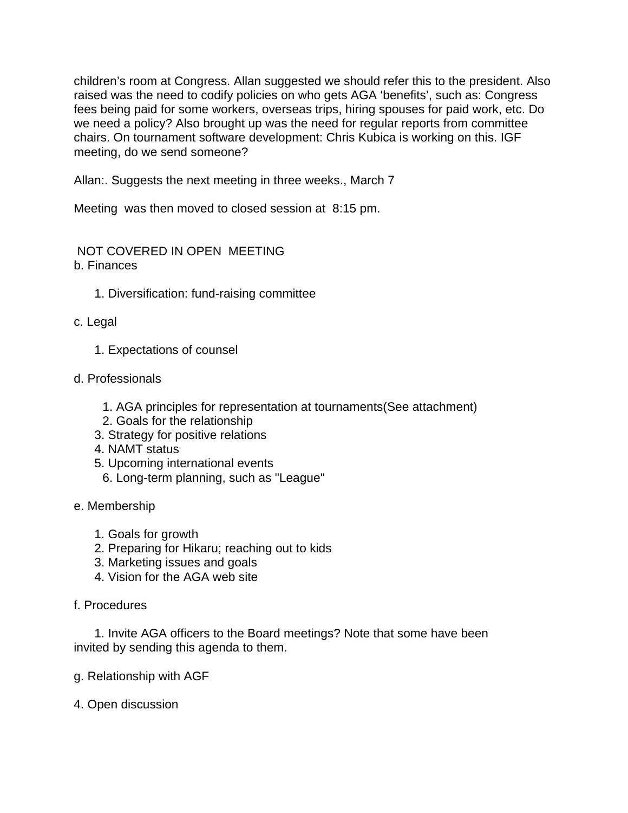children's room at Congress. Allan suggested we should refer this to the president. Also raised was the need to codify policies on who gets AGA 'benefits', such as: Congress fees being paid for some workers, overseas trips, hiring spouses for paid work, etc. Do we need a policy? Also brought up was the need for regular reports from committee chairs. On tournament software development: Chris Kubica is working on this. IGF meeting, do we send someone?

Allan:. Suggests the next meeting in three weeks., March 7

Meeting was then moved to closed session at 8:15 pm.

 NOT COVERED IN OPEN MEETING b. Finances

- 1. Diversification: fund-raising committee
- c. Legal
	- 1. Expectations of counsel
- d. Professionals
	- 1. AGA principles for representation at tournaments(See attachment)
	- 2. Goals for the relationship
	- 3. Strategy for positive relations
	- 4. NAMT status
	- 5. Upcoming international events
		- 6. Long-term planning, such as "League"

## e. Membership

- 1. Goals for growth
- 2. Preparing for Hikaru; reaching out to kids
- 3. Marketing issues and goals
- 4. Vision for the AGA web site
- f. Procedures

 1. Invite AGA officers to the Board meetings? Note that some have been invited by sending this agenda to them.

- g. Relationship with AGF
- 4. Open discussion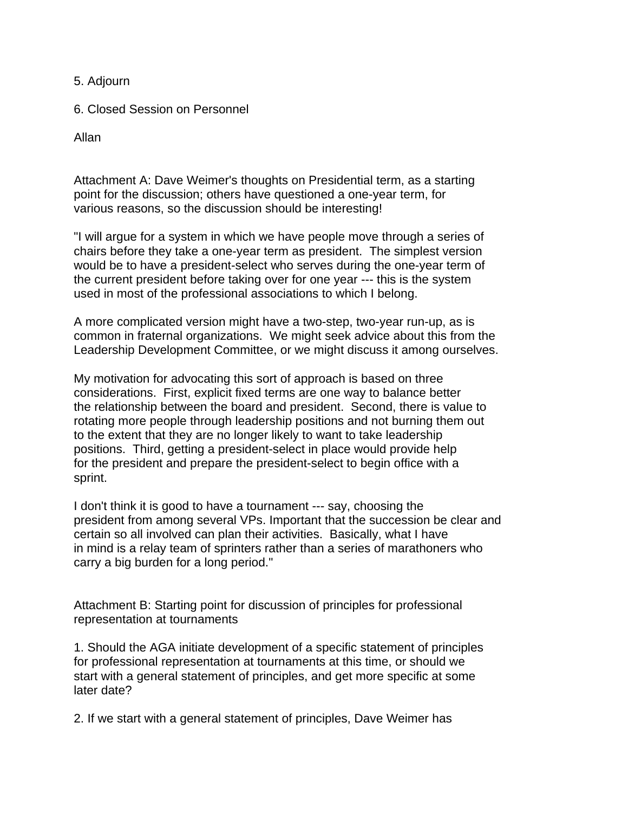5. Adjourn

6. Closed Session on Personnel

Allan

Attachment A: Dave Weimer's thoughts on Presidential term, as a starting point for the discussion; others have questioned a one-year term, for various reasons, so the discussion should be interesting!

"I will argue for a system in which we have people move through a series of chairs before they take a one-year term as president. The simplest version would be to have a president-select who serves during the one-year term of the current president before taking over for one year --- this is the system used in most of the professional associations to which I belong.

A more complicated version might have a two-step, two-year run-up, as is common in fraternal organizations. We might seek advice about this from the Leadership Development Committee, or we might discuss it among ourselves.

My motivation for advocating this sort of approach is based on three considerations. First, explicit fixed terms are one way to balance better the relationship between the board and president. Second, there is value to rotating more people through leadership positions and not burning them out to the extent that they are no longer likely to want to take leadership positions. Third, getting a president-select in place would provide help for the president and prepare the president-select to begin office with a sprint.

I don't think it is good to have a tournament --- say, choosing the president from among several VPs. Important that the succession be clear and certain so all involved can plan their activities. Basically, what I have in mind is a relay team of sprinters rather than a series of marathoners who carry a big burden for a long period."

Attachment B: Starting point for discussion of principles for professional representation at tournaments

1. Should the AGA initiate development of a specific statement of principles for professional representation at tournaments at this time, or should we start with a general statement of principles, and get more specific at some later date?

2. If we start with a general statement of principles, Dave Weimer has